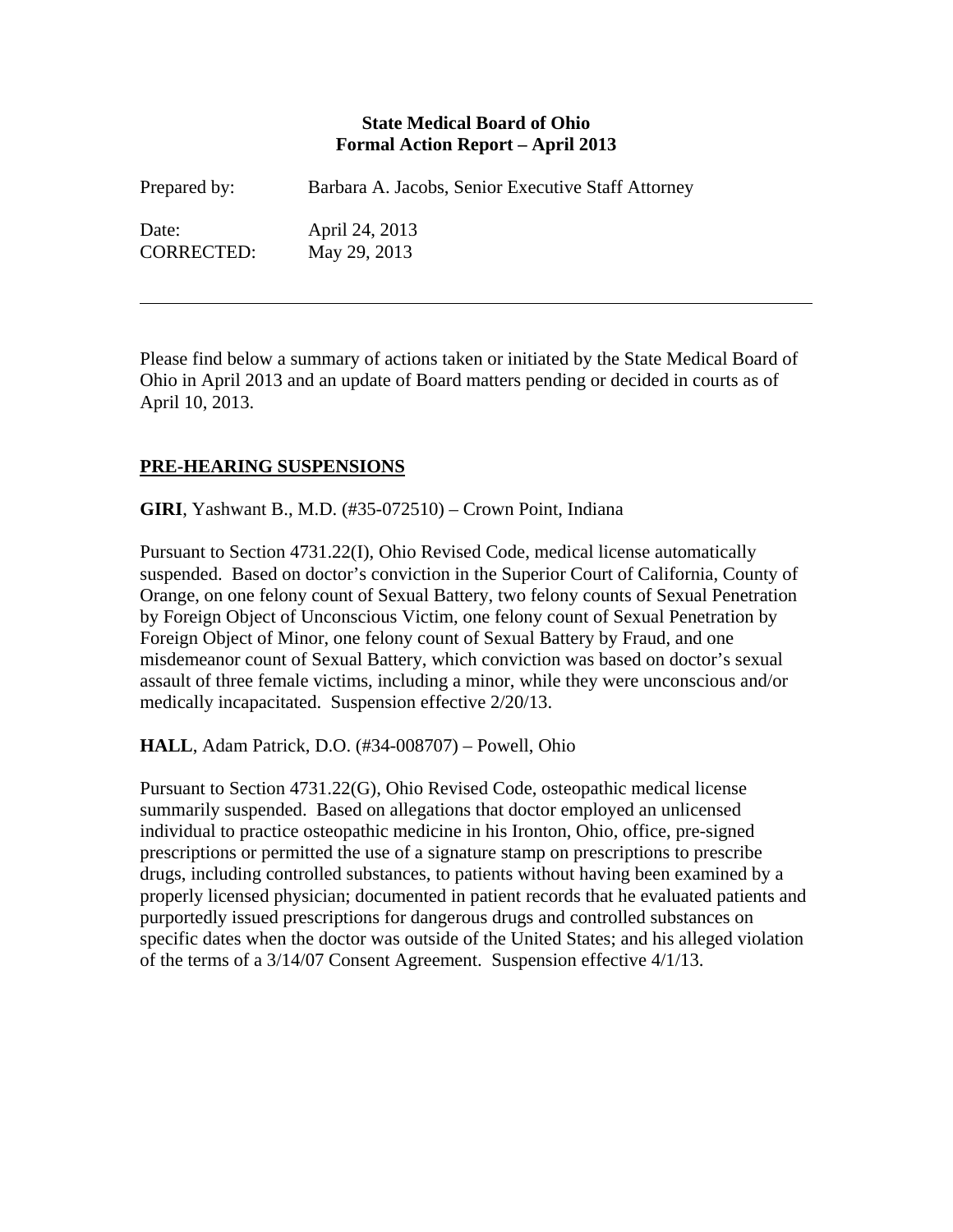#### **State Medical Board of Ohio Formal Action Report – April 2013**

| Prepared by:      | Barbara A. Jacobs, Senior Executive Staff Attorney |
|-------------------|----------------------------------------------------|
| Date:             | April 24, 2013                                     |
| <b>CORRECTED:</b> | May 29, 2013                                       |

Please find below a summary of actions taken or initiated by the State Medical Board of Ohio in April 2013 and an update of Board matters pending or decided in courts as of April 10, 2013.

### **PRE-HEARING SUSPENSIONS**

 $\overline{a}$ 

**GIRI**, Yashwant B., M.D. (#35-072510) – Crown Point, Indiana

Pursuant to Section 4731.22(I), Ohio Revised Code, medical license automatically suspended. Based on doctor's conviction in the Superior Court of California, County of Orange, on one felony count of Sexual Battery, two felony counts of Sexual Penetration by Foreign Object of Unconscious Victim, one felony count of Sexual Penetration by Foreign Object of Minor, one felony count of Sexual Battery by Fraud, and one misdemeanor count of Sexual Battery, which conviction was based on doctor's sexual assault of three female victims, including a minor, while they were unconscious and/or medically incapacitated. Suspension effective 2/20/13.

**HALL**, Adam Patrick, D.O. (#34-008707) – Powell, Ohio

Pursuant to Section 4731.22(G), Ohio Revised Code, osteopathic medical license summarily suspended. Based on allegations that doctor employed an unlicensed individual to practice osteopathic medicine in his Ironton, Ohio, office, pre-signed prescriptions or permitted the use of a signature stamp on prescriptions to prescribe drugs, including controlled substances, to patients without having been examined by a properly licensed physician; documented in patient records that he evaluated patients and purportedly issued prescriptions for dangerous drugs and controlled substances on specific dates when the doctor was outside of the United States; and his alleged violation of the terms of a 3/14/07 Consent Agreement. Suspension effective 4/1/13.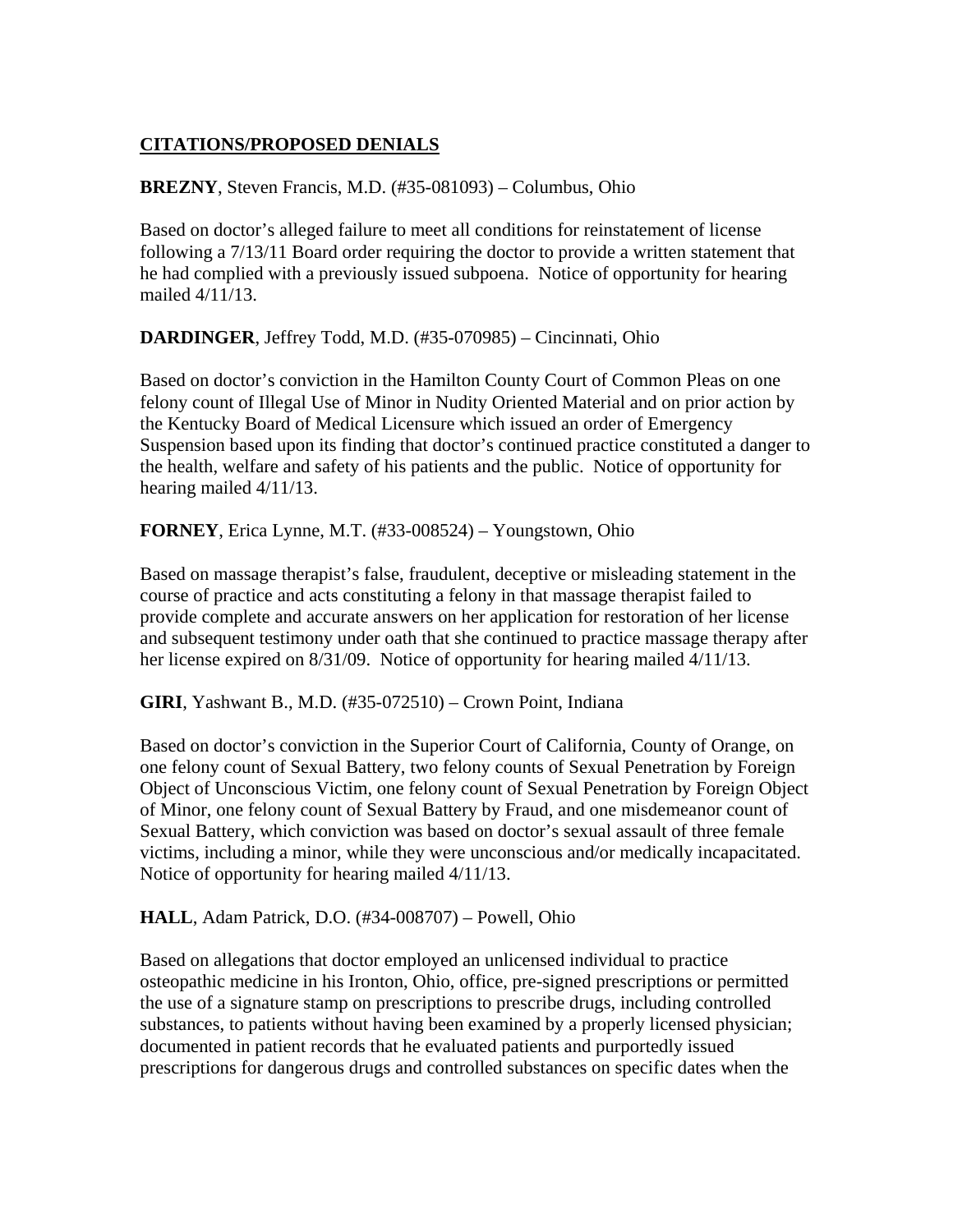# **CITATIONS/PROPOSED DENIALS**

**BREZNY**, Steven Francis, M.D. (#35-081093) – Columbus, Ohio

Based on doctor's alleged failure to meet all conditions for reinstatement of license following a 7/13/11 Board order requiring the doctor to provide a written statement that he had complied with a previously issued subpoena. Notice of opportunity for hearing mailed 4/11/13.

**DARDINGER**, Jeffrey Todd, M.D. (#35-070985) – Cincinnati, Ohio

Based on doctor's conviction in the Hamilton County Court of Common Pleas on one felony count of Illegal Use of Minor in Nudity Oriented Material and on prior action by the Kentucky Board of Medical Licensure which issued an order of Emergency Suspension based upon its finding that doctor's continued practice constituted a danger to the health, welfare and safety of his patients and the public. Notice of opportunity for hearing mailed 4/11/13.

**FORNEY**, Erica Lynne, M.T. (#33-008524) – Youngstown, Ohio

Based on massage therapist's false, fraudulent, deceptive or misleading statement in the course of practice and acts constituting a felony in that massage therapist failed to provide complete and accurate answers on her application for restoration of her license and subsequent testimony under oath that she continued to practice massage therapy after her license expired on 8/31/09. Notice of opportunity for hearing mailed 4/11/13.

**GIRI**, Yashwant B., M.D. (#35-072510) – Crown Point, Indiana

Based on doctor's conviction in the Superior Court of California, County of Orange, on one felony count of Sexual Battery, two felony counts of Sexual Penetration by Foreign Object of Unconscious Victim, one felony count of Sexual Penetration by Foreign Object of Minor, one felony count of Sexual Battery by Fraud, and one misdemeanor count of Sexual Battery, which conviction was based on doctor's sexual assault of three female victims, including a minor, while they were unconscious and/or medically incapacitated. Notice of opportunity for hearing mailed 4/11/13.

**HALL**, Adam Patrick, D.O. (#34-008707) – Powell, Ohio

Based on allegations that doctor employed an unlicensed individual to practice osteopathic medicine in his Ironton, Ohio, office, pre-signed prescriptions or permitted the use of a signature stamp on prescriptions to prescribe drugs, including controlled substances, to patients without having been examined by a properly licensed physician; documented in patient records that he evaluated patients and purportedly issued prescriptions for dangerous drugs and controlled substances on specific dates when the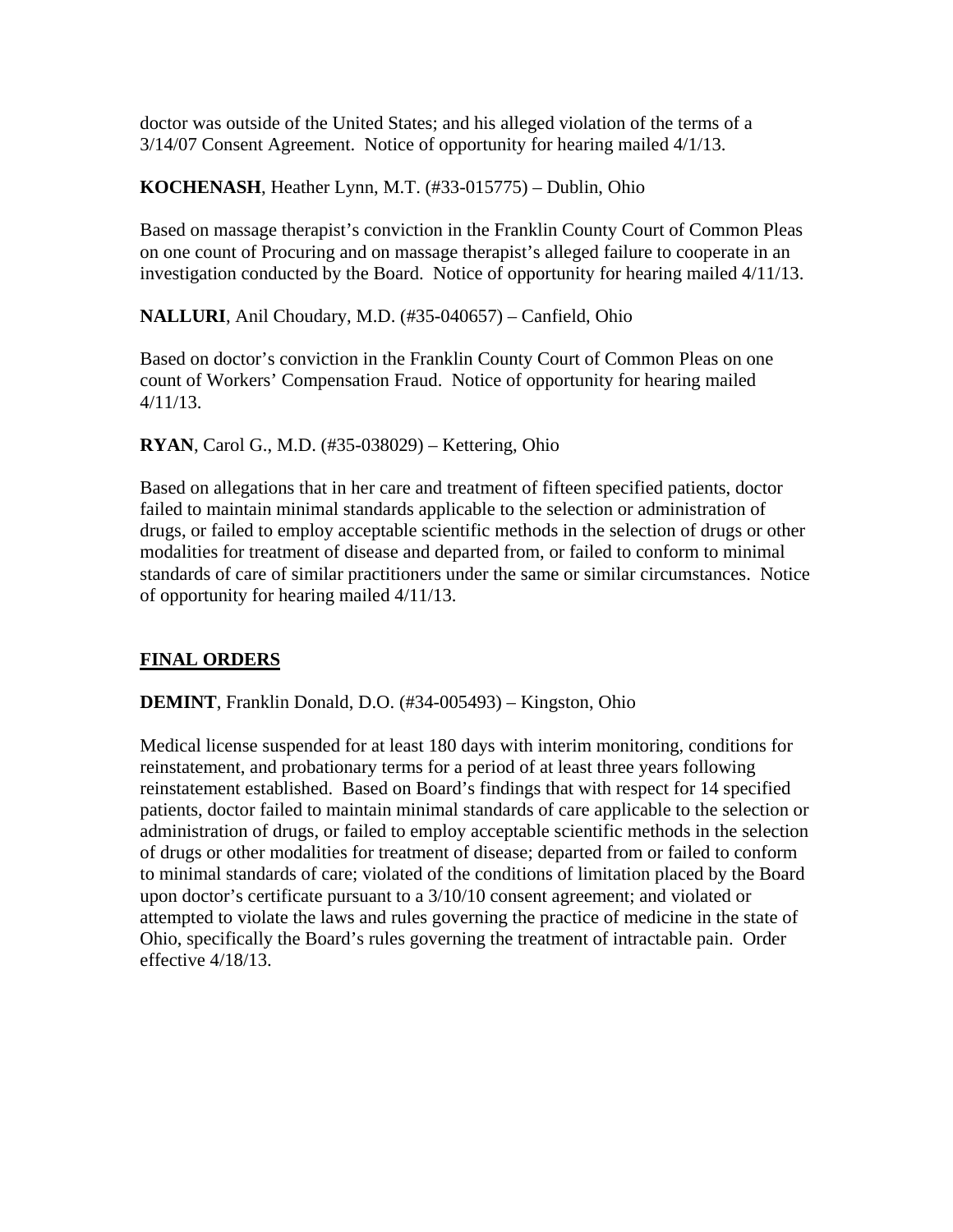doctor was outside of the United States; and his alleged violation of the terms of a 3/14/07 Consent Agreement. Notice of opportunity for hearing mailed 4/1/13.

**KOCHENASH**, Heather Lynn, M.T. (#33-015775) – Dublin, Ohio

Based on massage therapist's conviction in the Franklin County Court of Common Pleas on one count of Procuring and on massage therapist's alleged failure to cooperate in an investigation conducted by the Board. Notice of opportunity for hearing mailed 4/11/13.

**NALLURI**, Anil Choudary, M.D. (#35-040657) – Canfield, Ohio

Based on doctor's conviction in the Franklin County Court of Common Pleas on one count of Workers' Compensation Fraud. Notice of opportunity for hearing mailed 4/11/13.

**RYAN**, Carol G., M.D. (#35-038029) – Kettering, Ohio

Based on allegations that in her care and treatment of fifteen specified patients, doctor failed to maintain minimal standards applicable to the selection or administration of drugs, or failed to employ acceptable scientific methods in the selection of drugs or other modalities for treatment of disease and departed from, or failed to conform to minimal standards of care of similar practitioners under the same or similar circumstances. Notice of opportunity for hearing mailed 4/11/13.

### **FINAL ORDERS**

**DEMINT**, Franklin Donald, D.O. (#34-005493) – Kingston, Ohio

Medical license suspended for at least 180 days with interim monitoring, conditions for reinstatement, and probationary terms for a period of at least three years following reinstatement established. Based on Board's findings that with respect for 14 specified patients, doctor failed to maintain minimal standards of care applicable to the selection or administration of drugs, or failed to employ acceptable scientific methods in the selection of drugs or other modalities for treatment of disease; departed from or failed to conform to minimal standards of care; violated of the conditions of limitation placed by the Board upon doctor's certificate pursuant to a 3/10/10 consent agreement; and violated or attempted to violate the laws and rules governing the practice of medicine in the state of Ohio, specifically the Board's rules governing the treatment of intractable pain. Order effective 4/18/13.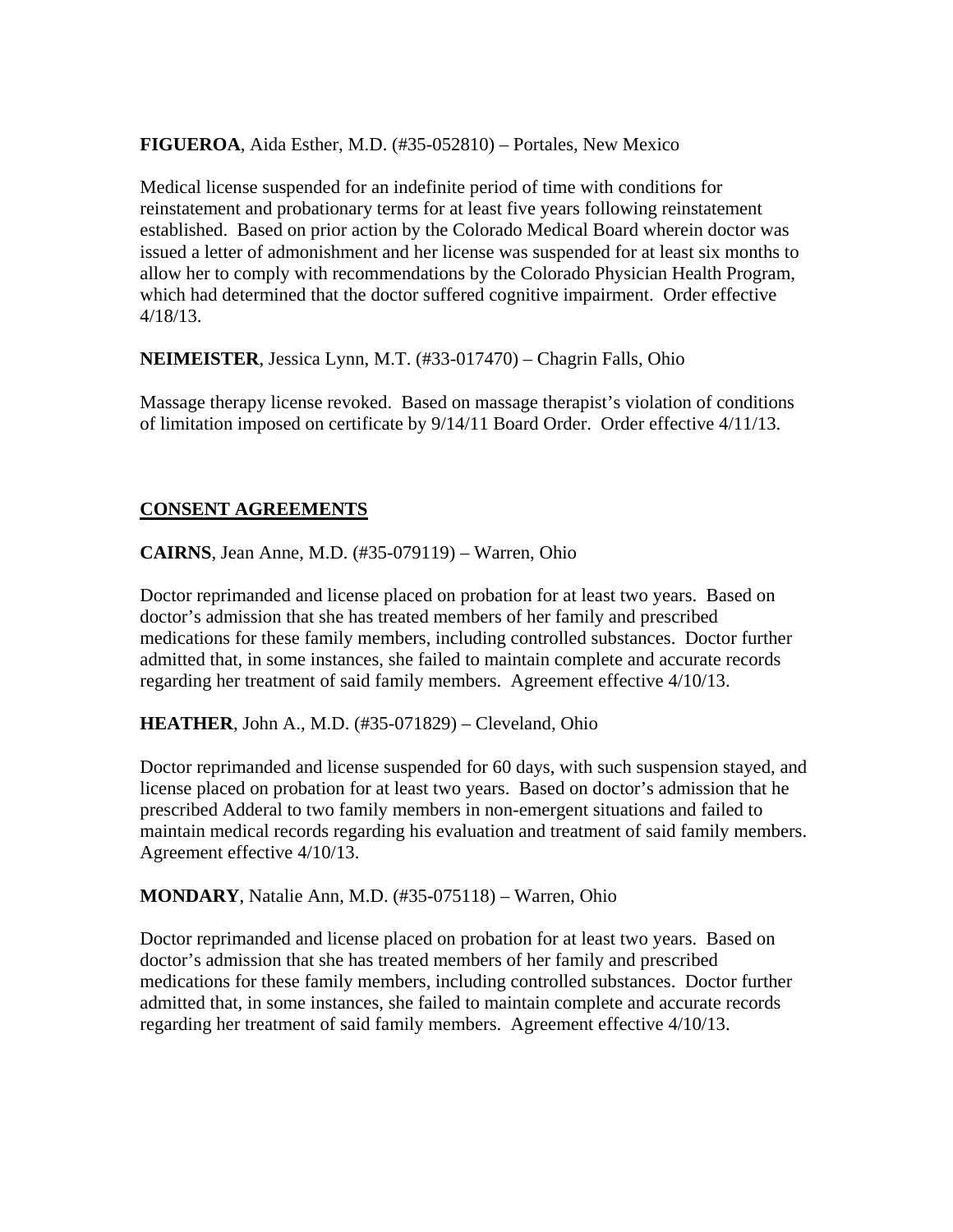**FIGUEROA**, Aida Esther, M.D. (#35-052810) – Portales, New Mexico

Medical license suspended for an indefinite period of time with conditions for reinstatement and probationary terms for at least five years following reinstatement established. Based on prior action by the Colorado Medical Board wherein doctor was issued a letter of admonishment and her license was suspended for at least six months to allow her to comply with recommendations by the Colorado Physician Health Program, which had determined that the doctor suffered cognitive impairment. Order effective 4/18/13.

**NEIMEISTER**, Jessica Lynn, M.T. (#33-017470) – Chagrin Falls, Ohio

Massage therapy license revoked. Based on massage therapist's violation of conditions of limitation imposed on certificate by 9/14/11 Board Order. Order effective 4/11/13.

#### **CONSENT AGREEMENTS**

**CAIRNS**, Jean Anne, M.D. (#35-079119) – Warren, Ohio

Doctor reprimanded and license placed on probation for at least two years. Based on doctor's admission that she has treated members of her family and prescribed medications for these family members, including controlled substances. Doctor further admitted that, in some instances, she failed to maintain complete and accurate records regarding her treatment of said family members. Agreement effective 4/10/13.

**HEATHER**, John A., M.D. (#35-071829) – Cleveland, Ohio

Doctor reprimanded and license suspended for 60 days, with such suspension stayed, and license placed on probation for at least two years. Based on doctor's admission that he prescribed Adderal to two family members in non-emergent situations and failed to maintain medical records regarding his evaluation and treatment of said family members. Agreement effective 4/10/13.

**MONDARY**, Natalie Ann, M.D. (#35-075118) – Warren, Ohio

Doctor reprimanded and license placed on probation for at least two years. Based on doctor's admission that she has treated members of her family and prescribed medications for these family members, including controlled substances. Doctor further admitted that, in some instances, she failed to maintain complete and accurate records regarding her treatment of said family members. Agreement effective 4/10/13.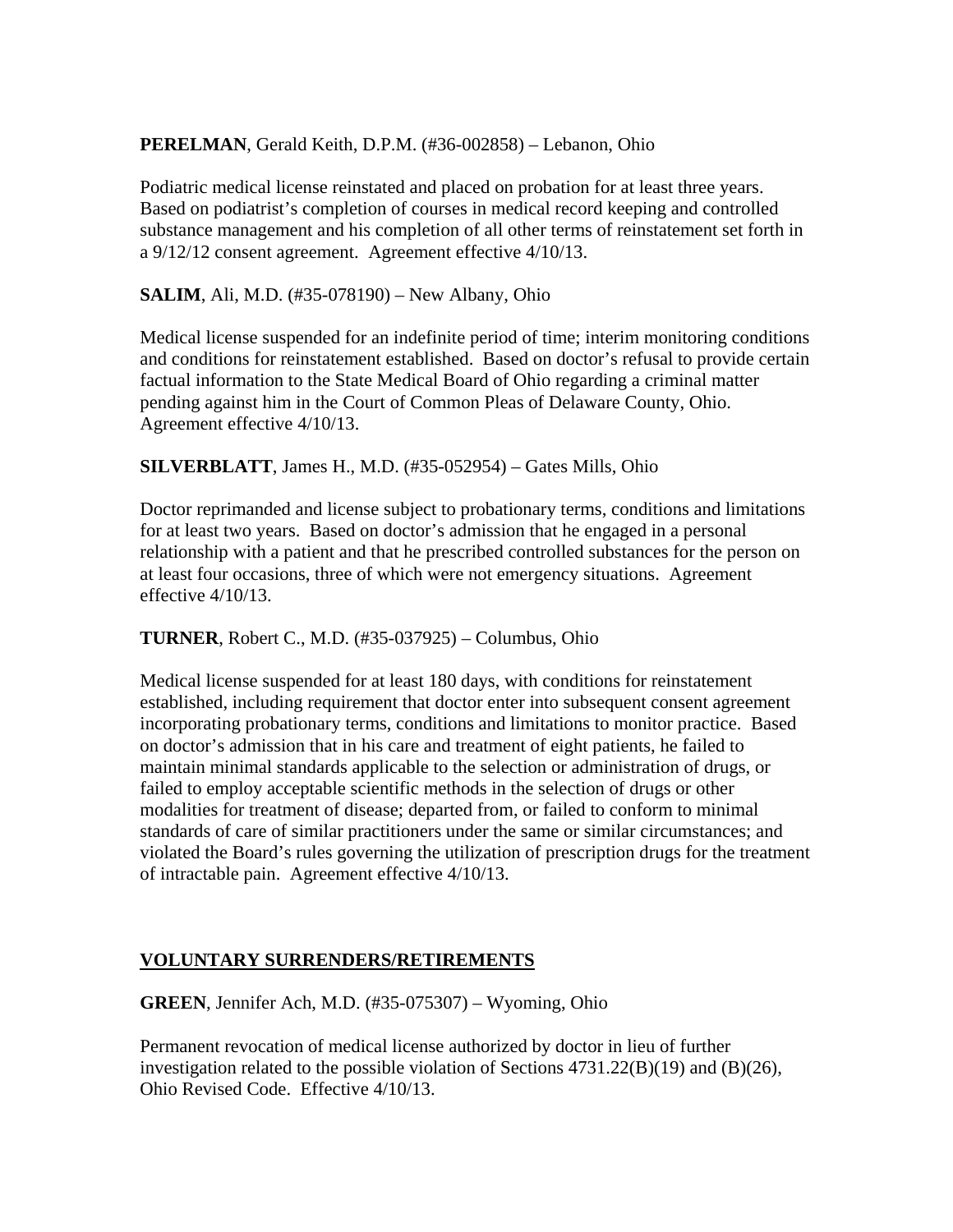#### **PERELMAN**, Gerald Keith, D.P.M. (#36-002858) – Lebanon, Ohio

Podiatric medical license reinstated and placed on probation for at least three years. Based on podiatrist's completion of courses in medical record keeping and controlled substance management and his completion of all other terms of reinstatement set forth in a 9/12/12 consent agreement. Agreement effective 4/10/13.

**SALIM**, Ali, M.D. (#35-078190) – New Albany, Ohio

Medical license suspended for an indefinite period of time; interim monitoring conditions and conditions for reinstatement established. Based on doctor's refusal to provide certain factual information to the State Medical Board of Ohio regarding a criminal matter pending against him in the Court of Common Pleas of Delaware County, Ohio. Agreement effective 4/10/13.

#### **SILVERBLATT**, James H., M.D. (#35-052954) – Gates Mills, Ohio

Doctor reprimanded and license subject to probationary terms, conditions and limitations for at least two years. Based on doctor's admission that he engaged in a personal relationship with a patient and that he prescribed controlled substances for the person on at least four occasions, three of which were not emergency situations. Agreement effective 4/10/13.

### **TURNER**, Robert C., M.D. (#35-037925) – Columbus, Ohio

Medical license suspended for at least 180 days, with conditions for reinstatement established, including requirement that doctor enter into subsequent consent agreement incorporating probationary terms, conditions and limitations to monitor practice. Based on doctor's admission that in his care and treatment of eight patients, he failed to maintain minimal standards applicable to the selection or administration of drugs, or failed to employ acceptable scientific methods in the selection of drugs or other modalities for treatment of disease; departed from, or failed to conform to minimal standards of care of similar practitioners under the same or similar circumstances; and violated the Board's rules governing the utilization of prescription drugs for the treatment of intractable pain. Agreement effective 4/10/13.

### **VOLUNTARY SURRENDERS/RETIREMENTS**

**GREEN**, Jennifer Ach, M.D. (#35-075307) – Wyoming, Ohio

Permanent revocation of medical license authorized by doctor in lieu of further investigation related to the possible violation of Sections 4731.22(B)(19) and (B)(26), Ohio Revised Code. Effective 4/10/13.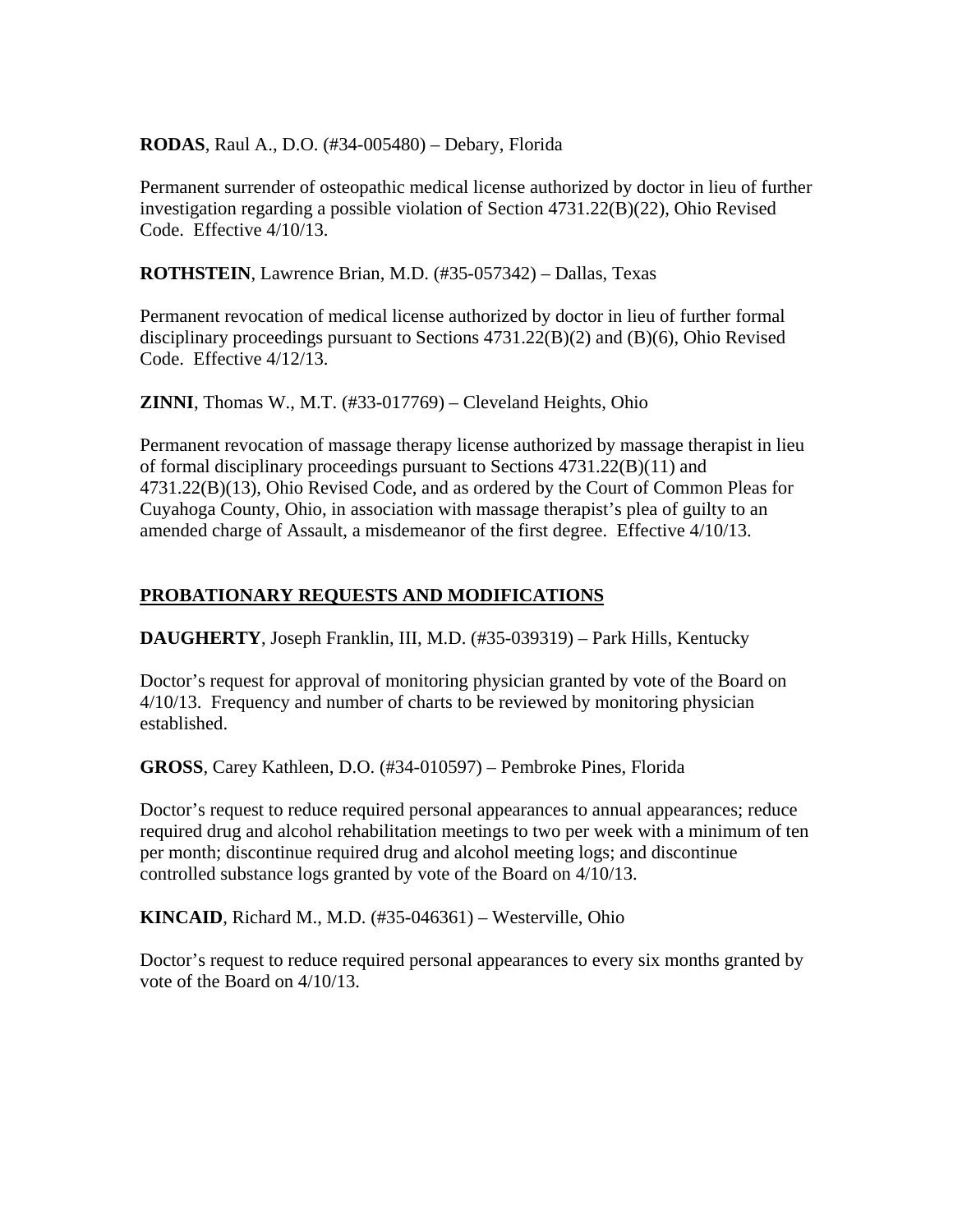#### **RODAS**, Raul A., D.O. (#34-005480) – Debary, Florida

Permanent surrender of osteopathic medical license authorized by doctor in lieu of further investigation regarding a possible violation of Section 4731.22(B)(22), Ohio Revised Code. Effective 4/10/13.

**ROTHSTEIN**, Lawrence Brian, M.D. (#35-057342) – Dallas, Texas

Permanent revocation of medical license authorized by doctor in lieu of further formal disciplinary proceedings pursuant to Sections 4731.22(B)(2) and (B)(6), Ohio Revised Code. Effective 4/12/13.

**ZINNI**, Thomas W., M.T. (#33-017769) – Cleveland Heights, Ohio

Permanent revocation of massage therapy license authorized by massage therapist in lieu of formal disciplinary proceedings pursuant to Sections 4731.22(B)(11) and 4731.22(B)(13), Ohio Revised Code, and as ordered by the Court of Common Pleas for Cuyahoga County, Ohio, in association with massage therapist's plea of guilty to an amended charge of Assault, a misdemeanor of the first degree. Effective 4/10/13.

# **PROBATIONARY REQUESTS AND MODIFICATIONS**

**DAUGHERTY**, Joseph Franklin, III, M.D. (#35-039319) – Park Hills, Kentucky

Doctor's request for approval of monitoring physician granted by vote of the Board on 4/10/13. Frequency and number of charts to be reviewed by monitoring physician established.

**GROSS**, Carey Kathleen, D.O. (#34-010597) – Pembroke Pines, Florida

Doctor's request to reduce required personal appearances to annual appearances; reduce required drug and alcohol rehabilitation meetings to two per week with a minimum of ten per month; discontinue required drug and alcohol meeting logs; and discontinue controlled substance logs granted by vote of the Board on 4/10/13.

**KINCAID**, Richard M., M.D. (#35-046361) – Westerville, Ohio

Doctor's request to reduce required personal appearances to every six months granted by vote of the Board on 4/10/13.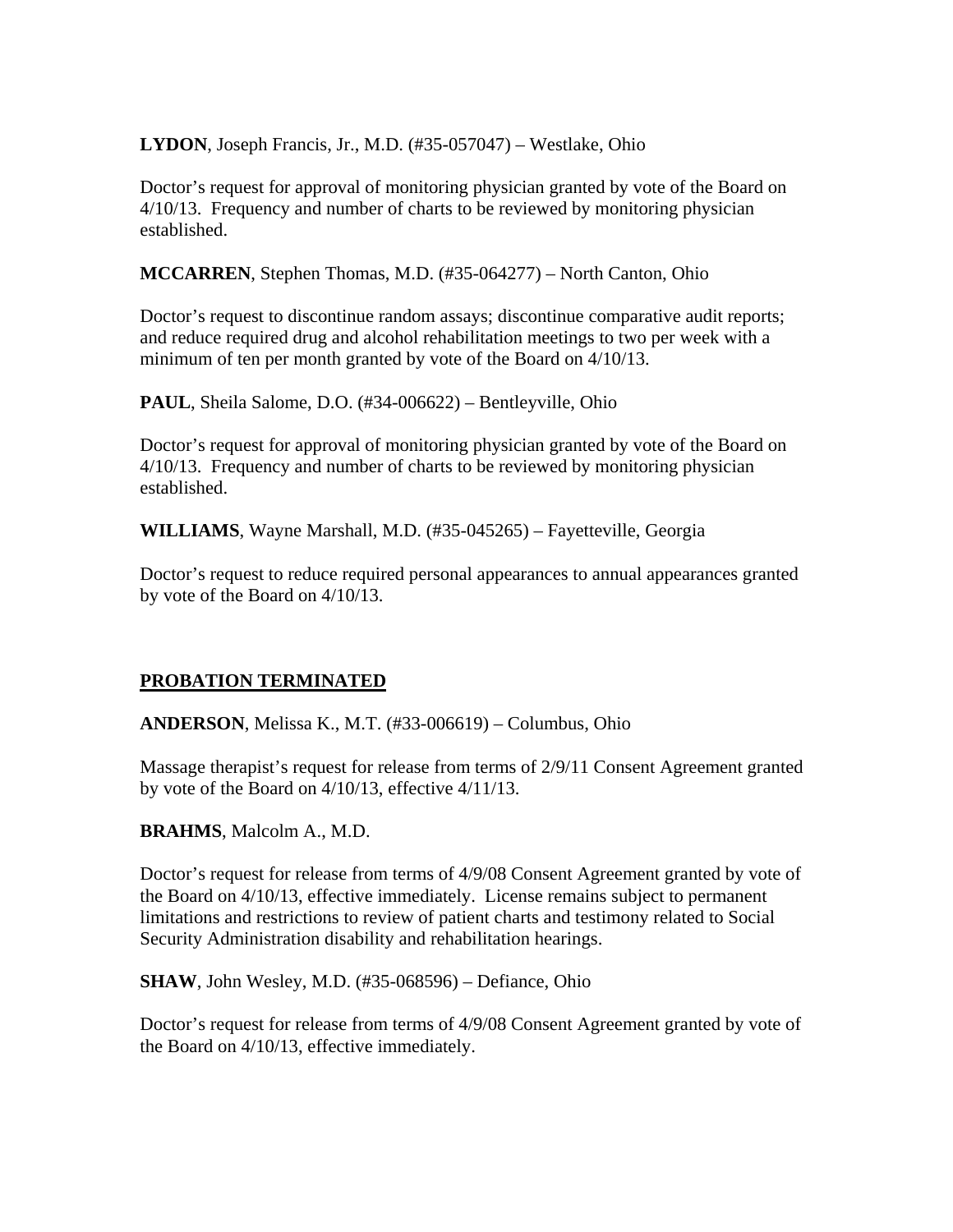**LYDON**, Joseph Francis, Jr., M.D. (#35-057047) – Westlake, Ohio

Doctor's request for approval of monitoring physician granted by vote of the Board on 4/10/13. Frequency and number of charts to be reviewed by monitoring physician established.

**MCCARREN**, Stephen Thomas, M.D. (#35-064277) – North Canton, Ohio

Doctor's request to discontinue random assays; discontinue comparative audit reports; and reduce required drug and alcohol rehabilitation meetings to two per week with a minimum of ten per month granted by vote of the Board on 4/10/13.

**PAUL**, Sheila Salome, D.O. (#34-006622) – Bentleyville, Ohio

Doctor's request for approval of monitoring physician granted by vote of the Board on 4/10/13. Frequency and number of charts to be reviewed by monitoring physician established.

**WILLIAMS**, Wayne Marshall, M.D. (#35-045265) – Fayetteville, Georgia

Doctor's request to reduce required personal appearances to annual appearances granted by vote of the Board on 4/10/13.

### **PROBATION TERMINATED**

**ANDERSON**, Melissa K., M.T. (#33-006619) – Columbus, Ohio

Massage therapist's request for release from terms of 2/9/11 Consent Agreement granted by vote of the Board on 4/10/13, effective 4/11/13.

**BRAHMS**, Malcolm A., M.D.

Doctor's request for release from terms of 4/9/08 Consent Agreement granted by vote of the Board on 4/10/13, effective immediately. License remains subject to permanent limitations and restrictions to review of patient charts and testimony related to Social Security Administration disability and rehabilitation hearings.

**SHAW**, John Wesley, M.D. (#35-068596) – Defiance, Ohio

Doctor's request for release from terms of 4/9/08 Consent Agreement granted by vote of the Board on 4/10/13, effective immediately.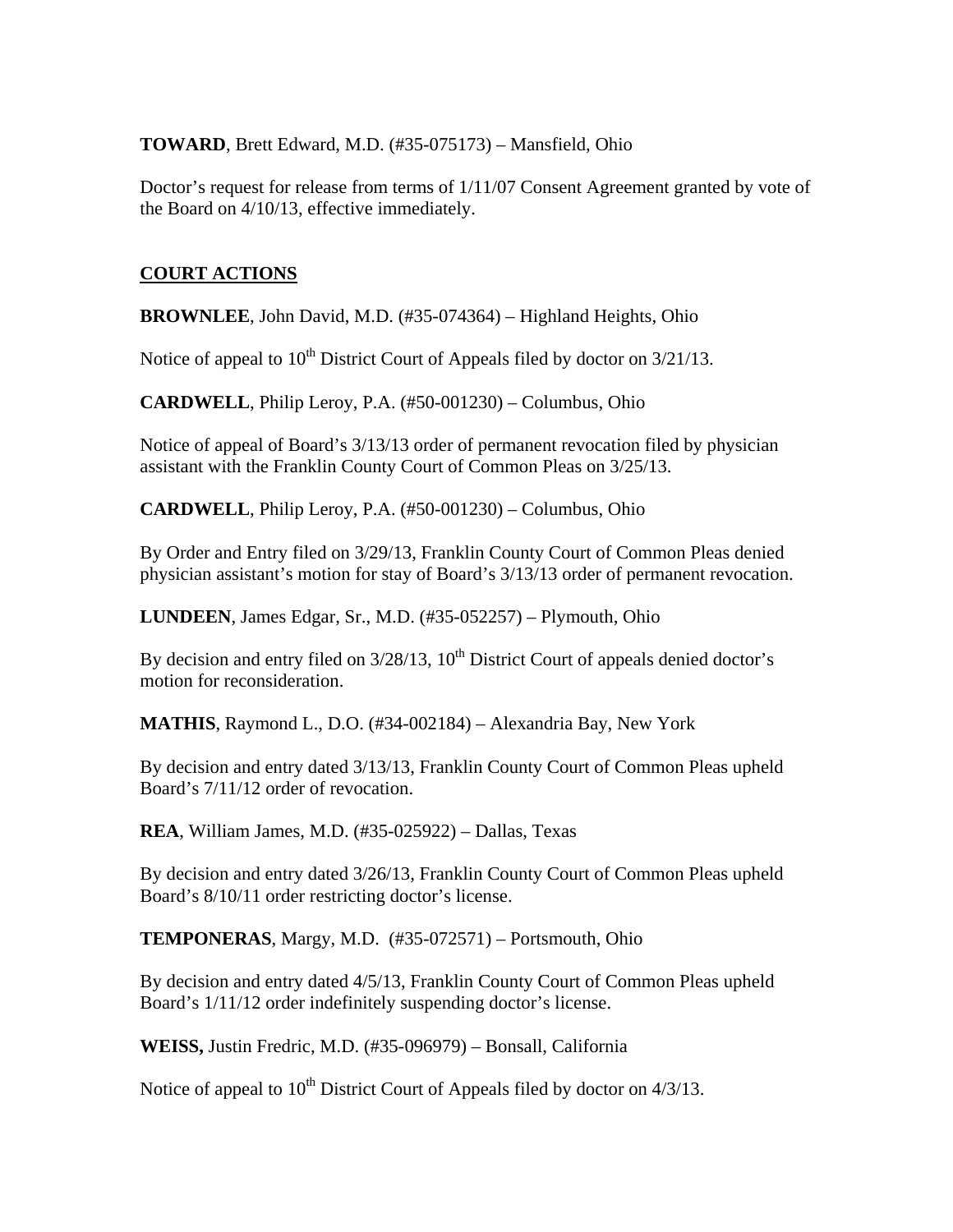#### **TOWARD**, Brett Edward, M.D. (#35-075173) – Mansfield, Ohio

Doctor's request for release from terms of 1/11/07 Consent Agreement granted by vote of the Board on 4/10/13, effective immediately.

# **COURT ACTIONS**

**BROWNLEE**, John David, M.D. (#35-074364) – Highland Heights, Ohio

Notice of appeal to  $10^{th}$  District Court of Appeals filed by doctor on  $3/21/13$ .

**CARDWELL**, Philip Leroy, P.A. (#50-001230) – Columbus, Ohio

Notice of appeal of Board's 3/13/13 order of permanent revocation filed by physician assistant with the Franklin County Court of Common Pleas on 3/25/13.

**CARDWELL**, Philip Leroy, P.A. (#50-001230) – Columbus, Ohio

By Order and Entry filed on 3/29/13, Franklin County Court of Common Pleas denied physician assistant's motion for stay of Board's 3/13/13 order of permanent revocation.

**LUNDEEN**, James Edgar, Sr., M.D. (#35-052257) – Plymouth, Ohio

By decision and entry filed on  $3/28/13$ ,  $10<sup>th</sup>$  District Court of appeals denied doctor's motion for reconsideration.

**MATHIS**, Raymond L., D.O. (#34-002184) – Alexandria Bay, New York

By decision and entry dated 3/13/13, Franklin County Court of Common Pleas upheld Board's 7/11/12 order of revocation.

**REA**, William James, M.D. (#35-025922) – Dallas, Texas

By decision and entry dated 3/26/13, Franklin County Court of Common Pleas upheld Board's 8/10/11 order restricting doctor's license.

**TEMPONERAS**, Margy, M.D. (#35-072571) – Portsmouth, Ohio

By decision and entry dated 4/5/13, Franklin County Court of Common Pleas upheld Board's 1/11/12 order indefinitely suspending doctor's license.

**WEISS,** Justin Fredric, M.D. (#35-096979) – Bonsall, California

Notice of appeal to  $10^{th}$  District Court of Appeals filed by doctor on  $4/3/13$ .